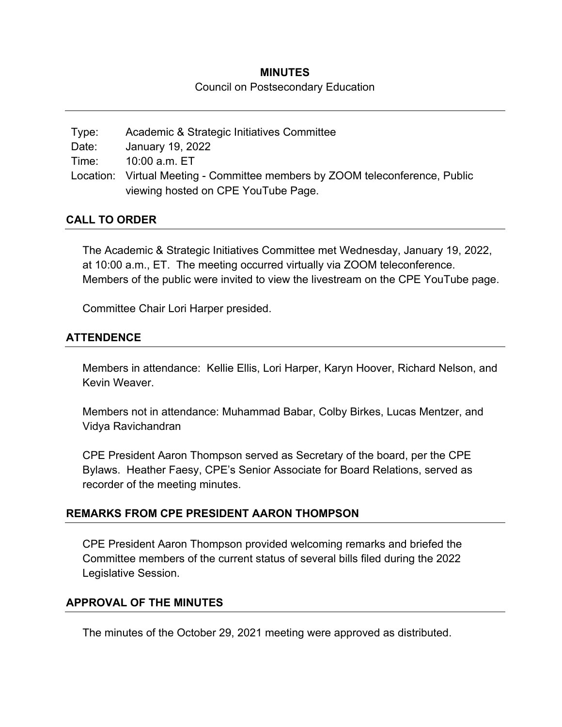# **MINUTES**  Council on Postsecondary Education

| Type: | Academic & Strategic Initiatives Committee                                   |
|-------|------------------------------------------------------------------------------|
| Date: | January 19, 2022                                                             |
|       | Time: 10:00 a.m. ET                                                          |
|       | Location: Virtual Meeting - Committee members by ZOOM teleconference, Public |
|       | viewing hosted on CPE YouTube Page.                                          |

#### **CALL TO ORDER**

The Academic & Strategic Initiatives Committee met Wednesday, January 19, 2022, at 10:00 a.m., ET. The meeting occurred virtually via ZOOM teleconference. Members of the public were invited to view the livestream on the CPE YouTube page.

Committee Chair Lori Harper presided.

#### **ATTENDENCE**

Members in attendance: Kellie Ellis, Lori Harper, Karyn Hoover, Richard Nelson, and Kevin Weaver.

Members not in attendance: Muhammad Babar, Colby Birkes, Lucas Mentzer, and Vidya Ravichandran

CPE President Aaron Thompson served as Secretary of the board, per the CPE Bylaws. Heather Faesy, CPE's Senior Associate for Board Relations, served as recorder of the meeting minutes.

## **REMARKS FROM CPE PRESIDENT AARON THOMPSON**

CPE President Aaron Thompson provided welcoming remarks and briefed the Committee members of the current status of several bills filed during the 2022 Legislative Session.

#### **APPROVAL OF THE MINUTES**

The minutes of the October 29, 2021 meeting were approved as distributed.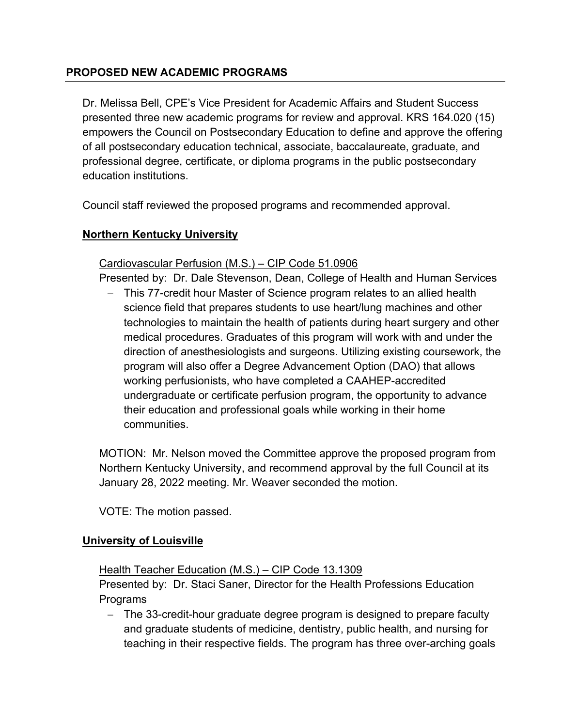# **PROPOSED NEW ACADEMIC PROGRAMS**

Dr. Melissa Bell, CPE's Vice President for Academic Affairs and Student Success presented three new academic programs for review and approval. KRS 164.020 (15) empowers the Council on Postsecondary Education to define and approve the offering of all postsecondary education technical, associate, baccalaureate, graduate, and professional degree, certificate, or diploma programs in the public postsecondary education institutions.

Council staff reviewed the proposed programs and recommended approval.

# **Northern Kentucky University**

## Cardiovascular Perfusion (M.S.) – CIP Code 51.0906

Presented by: Dr. Dale Stevenson, Dean, College of Health and Human Services

- This 77-credit hour Master of Science program relates to an allied health science field that prepares students to use heart/lung machines and other technologies to maintain the health of patients during heart surgery and other medical procedures. Graduates of this program will work with and under the direction of anesthesiologists and surgeons. Utilizing existing coursework, the program will also offer a Degree Advancement Option (DAO) that allows working perfusionists, who have completed a CAAHEP-accredited undergraduate or certificate perfusion program, the opportunity to advance their education and professional goals while working in their home communities.

MOTION: Mr. Nelson moved the Committee approve the proposed program from Northern Kentucky University, and recommend approval by the full Council at its January 28, 2022 meeting. Mr. Weaver seconded the motion.

VOTE: The motion passed.

## **University of Louisville**

## Health Teacher Education (M.S.) - CIP Code 13.1309

Presented by: Dr. Staci Saner, Director for the Health Professions Education Programs

- The 33-credit-hour graduate degree program is designed to prepare faculty and graduate students of medicine, dentistry, public health, and nursing for teaching in their respective fields. The program has three over-arching goals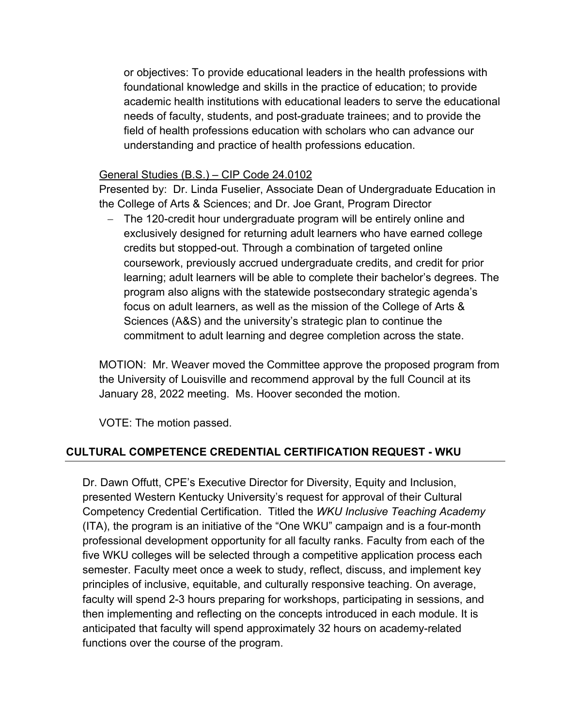or objectives: To provide educational leaders in the health professions with foundational knowledge and skills in the practice of education; to provide academic health institutions with educational leaders to serve the educational needs of faculty, students, and post-graduate trainees; and to provide the field of health professions education with scholars who can advance our understanding and practice of health professions education.

#### General Studies (B.S.) – CIP Code 24.0102

Presented by: Dr. Linda Fuselier, Associate Dean of Undergraduate Education in the College of Arts & Sciences; and Dr. Joe Grant, Program Director

- The 120-credit hour undergraduate program will be entirely online and exclusively designed for returning adult learners who have earned college credits but stopped-out. Through a combination of targeted online coursework, previously accrued undergraduate credits, and credit for prior learning; adult learners will be able to complete their bachelor's degrees. The program also aligns with the statewide postsecondary strategic agenda's focus on adult learners, as well as the mission of the College of Arts & Sciences (A&S) and the university's strategic plan to continue the commitment to adult learning and degree completion across the state.

MOTION: Mr. Weaver moved the Committee approve the proposed program from the University of Louisville and recommend approval by the full Council at its January 28, 2022 meeting. Ms. Hoover seconded the motion.

VOTE: The motion passed.

## **CULTURAL COMPETENCE CREDENTIAL CERTIFICATION REQUEST - WKU**

Dr. Dawn Offutt, CPE's Executive Director for Diversity, Equity and Inclusion, presented Western Kentucky University's request for approval of their Cultural Competency Credential Certification. Titled the *WKU Inclusive Teaching Academy* (ITA), the program is an initiative of the "One WKU" campaign and is a four-month professional development opportunity for all faculty ranks. Faculty from each of the five WKU colleges will be selected through a competitive application process each semester. Faculty meet once a week to study, reflect, discuss, and implement key principles of inclusive, equitable, and culturally responsive teaching. On average, faculty will spend 2-3 hours preparing for workshops, participating in sessions, and then implementing and reflecting on the concepts introduced in each module. It is anticipated that faculty will spend approximately 32 hours on academy-related functions over the course of the program.